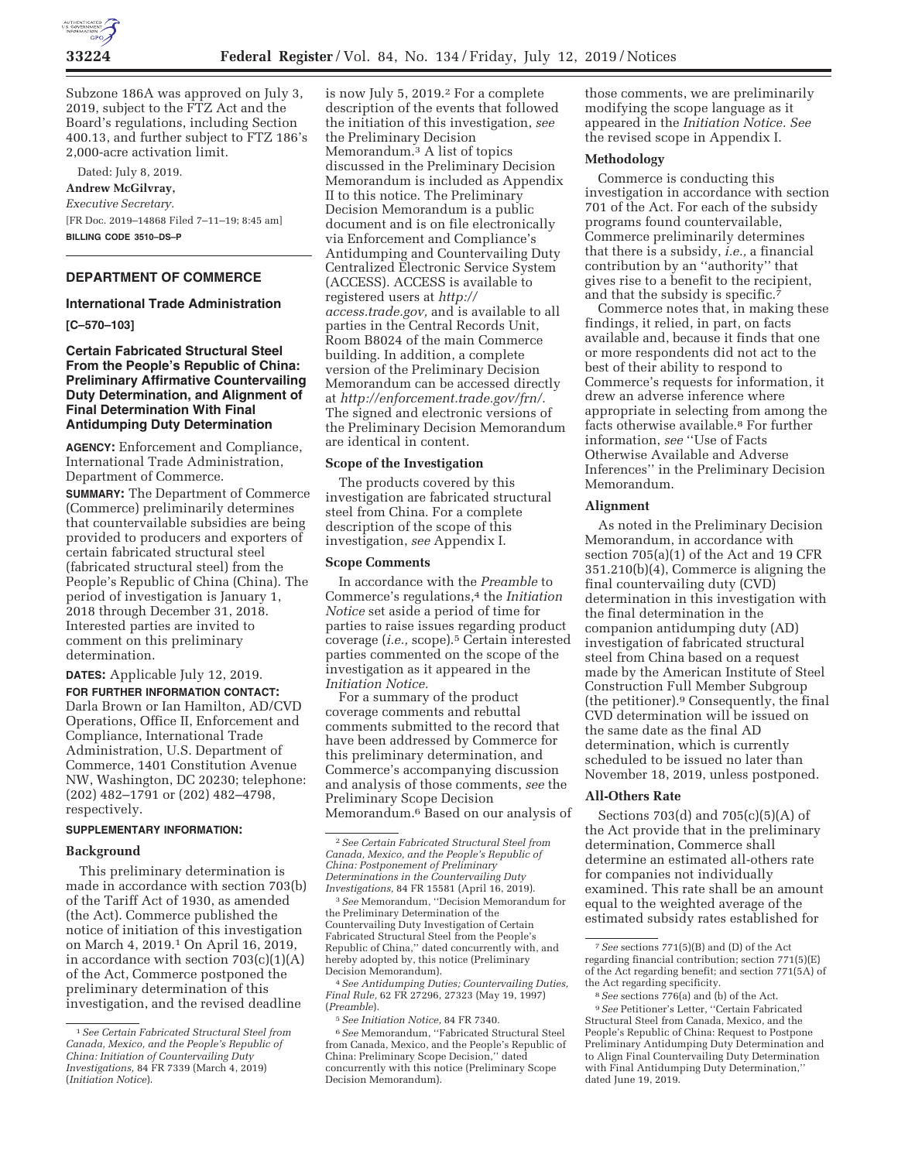

Subzone 186A was approved on July 3, 2019, subject to the FTZ Act and the Board's regulations, including Section 400.13, and further subject to FTZ 186's 2,000-acre activation limit.

Dated: July 8, 2019. **Andrew McGilvray,**  *Executive Secretary.*  [FR Doc. 2019–14868 Filed 7–11–19; 8:45 am] **BILLING CODE 3510–DS–P** 

# **DEPARTMENT OF COMMERCE**

#### **International Trade Administration**

### **[C–570–103]**

## **Certain Fabricated Structural Steel From the People's Republic of China: Preliminary Affirmative Countervailing Duty Determination, and Alignment of Final Determination With Final Antidumping Duty Determination**

**AGENCY:** Enforcement and Compliance, International Trade Administration, Department of Commerce.

**SUMMARY:** The Department of Commerce (Commerce) preliminarily determines that countervailable subsidies are being provided to producers and exporters of certain fabricated structural steel (fabricated structural steel) from the People's Republic of China (China). The period of investigation is January 1, 2018 through December 31, 2018. Interested parties are invited to comment on this preliminary determination.

**DATES:** Applicable July 12, 2019. **FOR FURTHER INFORMATION CONTACT:**  Darla Brown or Ian Hamilton, AD/CVD Operations, Office II, Enforcement and Compliance, International Trade Administration, U.S. Department of Commerce, 1401 Constitution Avenue NW, Washington, DC 20230; telephone: (202) 482–1791 or (202) 482–4798, respectively.

## **SUPPLEMENTARY INFORMATION:**

#### **Background**

This preliminary determination is made in accordance with section 703(b) of the Tariff Act of 1930, as amended (the Act). Commerce published the notice of initiation of this investigation on March 4, 2019.1 On April 16, 2019, in accordance with section  $703(c)(1)(A)$ of the Act, Commerce postponed the preliminary determination of this investigation, and the revised deadline

is now July 5, 2019.<sup>2</sup> For a complete description of the events that followed the initiation of this investigation, *see*  the Preliminary Decision Memorandum.3 A list of topics discussed in the Preliminary Decision Memorandum is included as Appendix II to this notice. The Preliminary Decision Memorandum is a public document and is on file electronically via Enforcement and Compliance's Antidumping and Countervailing Duty Centralized Electronic Service System (ACCESS). ACCESS is available to registered users at *http:// access.trade.gov,* and is available to all parties in the Central Records Unit, Room B8024 of the main Commerce building. In addition, a complete version of the Preliminary Decision Memorandum can be accessed directly at *http://enforcement.trade.gov/frn/.*  The signed and electronic versions of the Preliminary Decision Memorandum are identical in content.

### **Scope of the Investigation**

The products covered by this investigation are fabricated structural steel from China. For a complete description of the scope of this investigation, *see* Appendix I.

### **Scope Comments**

In accordance with the *Preamble* to Commerce's regulations,<sup>4</sup> the *Initiation Notice* set aside a period of time for parties to raise issues regarding product coverage (*i.e.,* scope).5 Certain interested parties commented on the scope of the investigation as it appeared in the *Initiation Notice.* 

For a summary of the product coverage comments and rebuttal comments submitted to the record that have been addressed by Commerce for this preliminary determination, and Commerce's accompanying discussion and analysis of those comments, *see* the Preliminary Scope Decision Memorandum.6 Based on our analysis of

3*See* Memorandum, ''Decision Memorandum for the Preliminary Determination of the Countervailing Duty Investigation of Certain Fabricated Structural Steel from the People's Republic of China,'' dated concurrently with, and hereby adopted by, this notice (Preliminary Decision Memorandum).

4*See Antidumping Duties; Countervailing Duties, Final Rule,* 62 FR 27296, 27323 (May 19, 1997) (*Preamble*).

those comments, we are preliminarily modifying the scope language as it appeared in the *Initiation Notice. See*  the revised scope in Appendix I.

### **Methodology**

Commerce is conducting this investigation in accordance with section 701 of the Act. For each of the subsidy programs found countervailable, Commerce preliminarily determines that there is a subsidy, *i.e.,* a financial contribution by an ''authority'' that gives rise to a benefit to the recipient, and that the subsidy is specific.7

Commerce notes that, in making these findings, it relied, in part, on facts available and, because it finds that one or more respondents did not act to the best of their ability to respond to Commerce's requests for information, it drew an adverse inference where appropriate in selecting from among the facts otherwise available.8 For further information, *see* ''Use of Facts Otherwise Available and Adverse Inferences'' in the Preliminary Decision Memorandum.

### **Alignment**

As noted in the Preliminary Decision Memorandum, in accordance with section 705(a)(1) of the Act and 19 CFR 351.210(b)(4), Commerce is aligning the final countervailing duty (CVD) determination in this investigation with the final determination in the companion antidumping duty (AD) investigation of fabricated structural steel from China based on a request made by the American Institute of Steel Construction Full Member Subgroup (the petitioner).9 Consequently, the final CVD determination will be issued on the same date as the final AD determination, which is currently scheduled to be issued no later than November 18, 2019, unless postponed.

## **All-Others Rate**

Sections 703(d) and 705(c)(5)(A) of the Act provide that in the preliminary determination, Commerce shall determine an estimated all-others rate for companies not individually examined. This rate shall be an amount equal to the weighted average of the estimated subsidy rates established for

<sup>1</sup>*See Certain Fabricated Structural Steel from Canada, Mexico, and the People's Republic of China: Initiation of Countervailing Duty Investigations,* 84 FR 7339 (March 4, 2019) (*Initiation Notice*).

<sup>2</sup>*See Certain Fabricated Structural Steel from Canada, Mexico, and the People's Republic of China: Postponement of Preliminary Determinations in the Countervailing Duty Investigations,* 84 FR 15581 (April 16, 2019).

<sup>5</sup>*See Initiation Notice,* 84 FR 7340.

<sup>6</sup>*See* Memorandum, ''Fabricated Structural Steel from Canada, Mexico, and the People's Republic of China: Preliminary Scope Decision,'' dated concurrently with this notice (Preliminary Scope Decision Memorandum).

<sup>7</sup>*See* sections 771(5)(B) and (D) of the Act regarding financial contribution; section 771(5)(E) of the Act regarding benefit; and section 771(5A) of the Act regarding specificity.

<sup>8</sup>*See* sections 776(a) and (b) of the Act.

<sup>9</sup>*See* Petitioner's Letter, ''Certain Fabricated Structural Steel from Canada, Mexico, and the People's Republic of China: Request to Postpone Preliminary Antidumping Duty Determination and to Align Final Countervailing Duty Determination with Final Antidumping Duty Determination,'' dated June 19, 2019.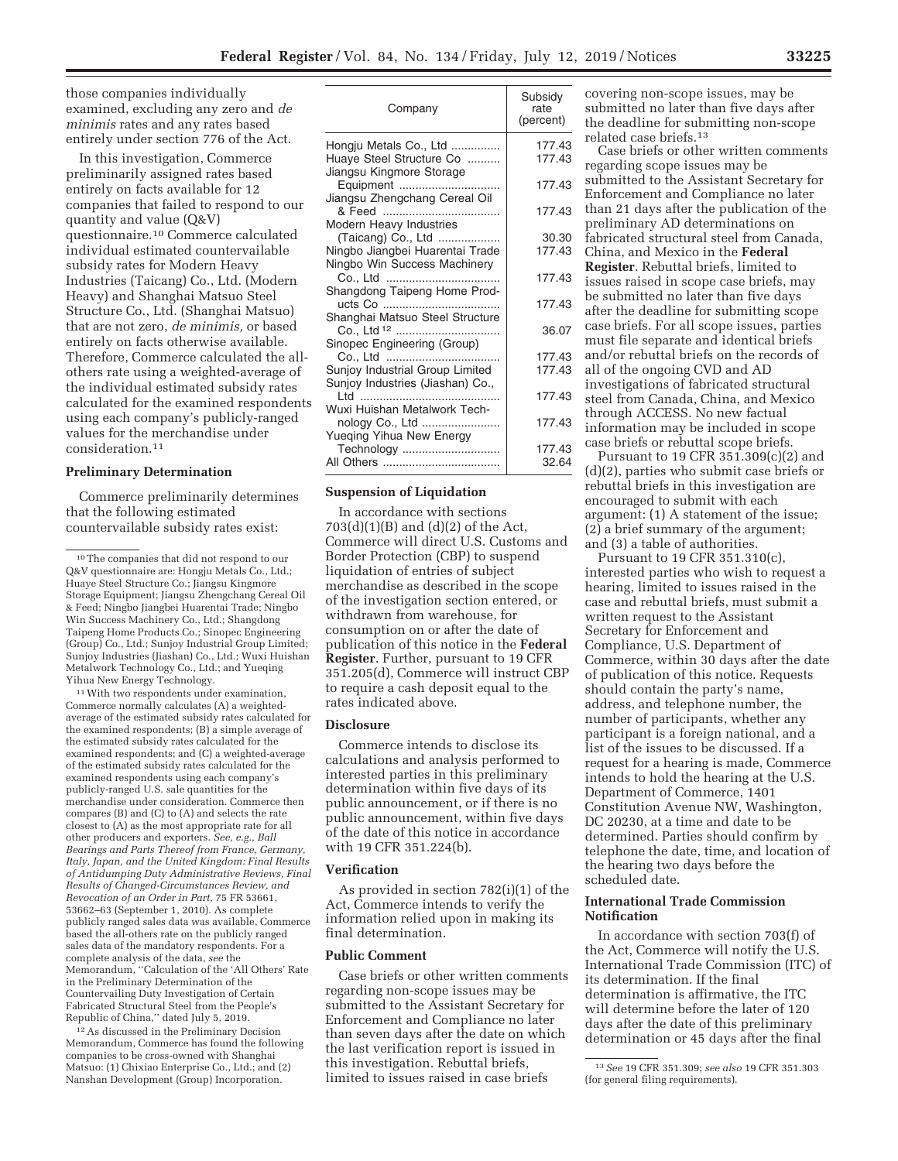those companies individually examined, excluding any zero and *de minimis* rates and any rates based entirely under section 776 of the Act.

In this investigation, Commerce preliminarily assigned rates based entirely on facts available for 12 companies that failed to respond to our quantity and value (Q&V) questionnaire.10 Commerce calculated individual estimated countervailable subsidy rates for Modern Heavy Industries (Taicang) Co., Ltd. (Modern Heavy) and Shanghai Matsuo Steel Structure Co., Ltd. (Shanghai Matsuo) that are not zero, *de minimis,* or based entirely on facts otherwise available. Therefore, Commerce calculated the allothers rate using a weighted-average of the individual estimated subsidy rates calculated for the examined respondents using each company's publicly-ranged values for the merchandise under consideration.11

### **Preliminary Determination**

Commerce preliminarily determines that the following estimated countervailable subsidy rates exist:

11With two respondents under examination, Commerce normally calculates (A) a weightedaverage of the estimated subsidy rates calculated for the examined respondents; (B) a simple average of the estimated subsidy rates calculated for the examined respondents; and (C) a weighted-average of the estimated subsidy rates calculated for the examined respondents using each company's publicly-ranged U.S. sale quantities for the merchandise under consideration. Commerce then compares (B) and (C) to (A) and selects the rate closest to (A) as the most appropriate rate for all other producers and exporters. *See, e.g., Ball Bearings and Parts Thereof from France, Germany, Italy, Japan, and the United Kingdom: Final Results of Antidumping Duty Administrative Reviews, Final Results of Changed-Circumstances Review, and Revocation of an Order in Part,* 75 FR 53661, 53662–63 (September 1, 2010). As complete publicly ranged sales data was available, Commerce based the all-others rate on the publicly ranged sales data of the mandatory respondents. For a complete analysis of the data, *see* the Memorandum, ''Calculation of the 'All Others' Rate in the Preliminary Determination of the Countervailing Duty Investigation of Certain Fabricated Structural Steel from the People's Republic of China,'' dated July 5, 2019.

12As discussed in the Preliminary Decision Memorandum, Commerce has found the following companies to be cross-owned with Shanghai Matsuo: (1) Chixiao Enterprise Co., Ltd.; and (2) Nanshan Development (Group) Incorporation.

| Company                                                                          | Subsidy<br>rate<br>(percent) |
|----------------------------------------------------------------------------------|------------------------------|
| Hongju Metals Co., Ltd<br>Huaye Steel Structure Co                               | 177.43<br>177.43             |
| Jiangsu Kingmore Storage<br>Equipment<br>Jiangsu Zhengchang Cereal Oil           | 177.43                       |
|                                                                                  | 177.43                       |
| Modern Heavy Industries<br>(Taicang) Co., Ltd<br>Ningbo Jiangbei Huarentai Trade | 30.30<br>177.43              |
| Ningbo Win Success Machinery                                                     | 177.43                       |
| Shangdong Taipeng Home Prod-<br>Shanghai Matsuo Steel Structure                  | 177.43                       |
|                                                                                  | 36.07                        |
| Sinopec Engineering (Group)<br>Co., Ltd                                          | 177.43                       |
| Sunjoy Industrial Group Limited                                                  | 177.43                       |
| Sunjoy Industries (Jiashan) Co.,<br>Wuxi Huishan Metalwork Tech-                 | 177.43                       |
|                                                                                  | 177.43                       |
| Yueqing Yihua New Energy<br>Technology                                           | 177.43<br>32.64              |

### **Suspension of Liquidation**

In accordance with sections 703(d)(1)(B) and (d)(2) of the Act, Commerce will direct U.S. Customs and Border Protection (CBP) to suspend liquidation of entries of subject merchandise as described in the scope of the investigation section entered, or withdrawn from warehouse, for consumption on or after the date of publication of this notice in the **Federal Register**. Further, pursuant to 19 CFR 351.205(d), Commerce will instruct CBP to require a cash deposit equal to the rates indicated above.

# **Disclosure**

Commerce intends to disclose its calculations and analysis performed to interested parties in this preliminary determination within five days of its public announcement, or if there is no public announcement, within five days of the date of this notice in accordance with 19 CFR 351.224(b).

#### **Verification**

As provided in section 782(i)(1) of the Act, Commerce intends to verify the information relied upon in making its final determination.

### **Public Comment**

Case briefs or other written comments regarding non-scope issues may be submitted to the Assistant Secretary for Enforcement and Compliance no later than seven days after the date on which the last verification report is issued in this investigation. Rebuttal briefs, limited to issues raised in case briefs

covering non-scope issues, may be submitted no later than five days after the deadline for submitting non-scope related case briefs.13

Case briefs or other written comments regarding scope issues may be submitted to the Assistant Secretary for Enforcement and Compliance no later than 21 days after the publication of the preliminary AD determinations on fabricated structural steel from Canada, China, and Mexico in the **Federal Register**. Rebuttal briefs, limited to issues raised in scope case briefs, may be submitted no later than five days after the deadline for submitting scope case briefs. For all scope issues, parties must file separate and identical briefs and/or rebuttal briefs on the records of all of the ongoing CVD and AD investigations of fabricated structural steel from Canada, China, and Mexico through ACCESS. No new factual information may be included in scope case briefs or rebuttal scope briefs.

Pursuant to 19 CFR 351.309(c)(2) and (d)(2), parties who submit case briefs or rebuttal briefs in this investigation are encouraged to submit with each argument: (1) A statement of the issue;  $(2)$  a brief summary of the argument; and (3) a table of authorities.

Pursuant to 19 CFR 351.310(c), interested parties who wish to request a hearing, limited to issues raised in the case and rebuttal briefs, must submit a written request to the Assistant Secretary for Enforcement and Compliance, U.S. Department of Commerce, within 30 days after the date of publication of this notice. Requests should contain the party's name, address, and telephone number, the number of participants, whether any participant is a foreign national, and a list of the issues to be discussed. If a request for a hearing is made, Commerce intends to hold the hearing at the U.S. Department of Commerce, 1401 Constitution Avenue NW, Washington, DC 20230, at a time and date to be determined. Parties should confirm by telephone the date, time, and location of the hearing two days before the scheduled date.

# **International Trade Commission Notification**

In accordance with section 703(f) of the Act, Commerce will notify the U.S. International Trade Commission (ITC) of its determination. If the final determination is affirmative, the ITC will determine before the later of 120 days after the date of this preliminary determination or 45 days after the final

<sup>10</sup>The companies that did not respond to our Q&V questionnaire are: Hongju Metals Co., Ltd.; Huaye Steel Structure Co.; Jiangsu Kingmore Storage Equipment; Jiangsu Zhengchang Cereal Oil & Feed; Ningbo Jiangbei Huarentai Trade; Ningbo Win Success Machinery Co., Ltd.; Shangdong Taipeng Home Products Co.; Sinopec Engineering (Group) Co., Ltd.; Sunjoy Industrial Group Limited; Sunjoy Industries (Jiashan) Co., Ltd.; Wuxi Huishan Metalwork Technology Co., Ltd.; and Yueqing Yihua New Energy Technology.

<sup>13</sup>*See* 19 CFR 351.309; *see also* 19 CFR 351.303 (for general filing requirements).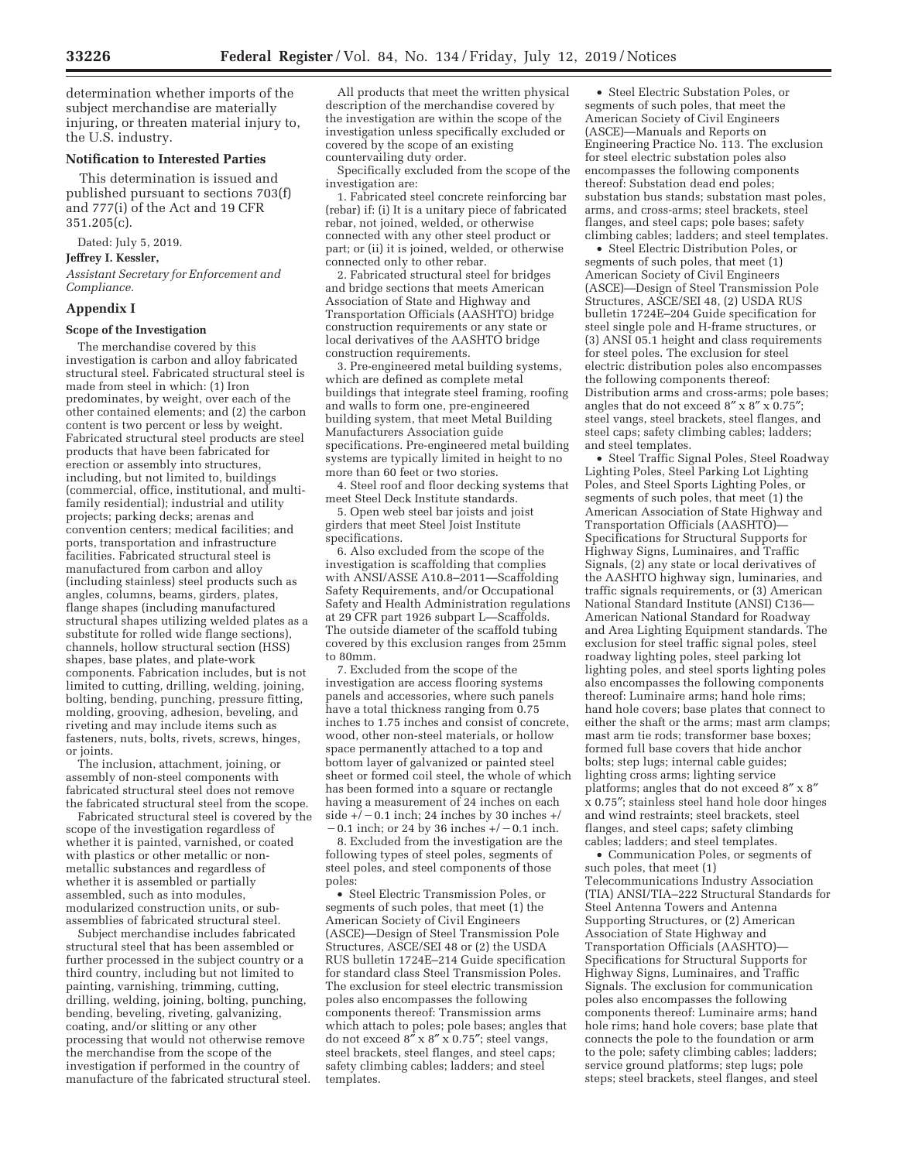determination whether imports of the subject merchandise are materially injuring, or threaten material injury to, the U.S. industry.

## **Notification to Interested Parties**

This determination is issued and published pursuant to sections 703(f) and 777(i) of the Act and 19 CFR 351.205(c).

Dated: July 5, 2019.

**Jeffrey I. Kessler,** 

*Assistant Secretary for Enforcement and Compliance.* 

### **Appendix I**

### **Scope of the Investigation**

The merchandise covered by this investigation is carbon and alloy fabricated structural steel. Fabricated structural steel is made from steel in which: (1) Iron predominates, by weight, over each of the other contained elements; and (2) the carbon content is two percent or less by weight. Fabricated structural steel products are steel products that have been fabricated for erection or assembly into structures, including, but not limited to, buildings (commercial, office, institutional, and multifamily residential); industrial and utility projects; parking decks; arenas and convention centers; medical facilities; and ports, transportation and infrastructure facilities. Fabricated structural steel is manufactured from carbon and alloy (including stainless) steel products such as angles, columns, beams, girders, plates, flange shapes (including manufactured structural shapes utilizing welded plates as a substitute for rolled wide flange sections), channels, hollow structural section (HSS) shapes, base plates, and plate-work components. Fabrication includes, but is not limited to cutting, drilling, welding, joining, bolting, bending, punching, pressure fitting, molding, grooving, adhesion, beveling, and riveting and may include items such as fasteners, nuts, bolts, rivets, screws, hinges, or joints.

The inclusion, attachment, joining, or assembly of non-steel components with fabricated structural steel does not remove the fabricated structural steel from the scope.

Fabricated structural steel is covered by the scope of the investigation regardless of whether it is painted, varnished, or coated with plastics or other metallic or nonmetallic substances and regardless of whether it is assembled or partially assembled, such as into modules, modularized construction units, or subassemblies of fabricated structural steel.

Subject merchandise includes fabricated structural steel that has been assembled or further processed in the subject country or a third country, including but not limited to painting, varnishing, trimming, cutting, drilling, welding, joining, bolting, punching, bending, beveling, riveting, galvanizing, coating, and/or slitting or any other processing that would not otherwise remove the merchandise from the scope of the investigation if performed in the country of manufacture of the fabricated structural steel.

All products that meet the written physical description of the merchandise covered by the investigation are within the scope of the investigation unless specifically excluded or covered by the scope of an existing countervailing duty order.

Specifically excluded from the scope of the investigation are:

1. Fabricated steel concrete reinforcing bar (rebar) if: (i) It is a unitary piece of fabricated rebar, not joined, welded, or otherwise connected with any other steel product or part; or (ii) it is joined, welded, or otherwise connected only to other rebar.

2. Fabricated structural steel for bridges and bridge sections that meets American Association of State and Highway and Transportation Officials (AASHTO) bridge construction requirements or any state or local derivatives of the AASHTO bridge construction requirements.

3. Pre-engineered metal building systems, which are defined as complete metal buildings that integrate steel framing, roofing and walls to form one, pre-engineered building system, that meet Metal Building Manufacturers Association guide specifications. Pre-engineered metal building systems are typically limited in height to no more than 60 feet or two stories.

4. Steel roof and floor decking systems that meet Steel Deck Institute standards.

5. Open web steel bar joists and joist girders that meet Steel Joist Institute specifications.

6. Also excluded from the scope of the investigation is scaffolding that complies with ANSI/ASSE A10.8–2011—Scaffolding Safety Requirements, and/or Occupational Safety and Health Administration regulations at 29 CFR part 1926 subpart L—Scaffolds. The outside diameter of the scaffold tubing covered by this exclusion ranges from 25mm to 80mm.

7. Excluded from the scope of the investigation are access flooring systems panels and accessories, where such panels have a total thickness ranging from 0.75 inches to 1.75 inches and consist of concrete, wood, other non-steel materials, or hollow space permanently attached to a top and bottom layer of galvanized or painted steel sheet or formed coil steel, the whole of which has been formed into a square or rectangle having a measurement of 24 inches on each space permanently attached to a top and<br>bottom layer of galvanized or painted steel<br>sheet or formed coil steel, the whole of whic<br>has been formed into a square or rectangle<br>having a measurement of 24 inches on each<br>side +/ ttom layer of galvanized or painted steel<br>eet or formed coil steel, the whole of whice<br>s been formed into a square or rectangle<br>wing a measurement of 24 inches on each<br>de  $+/-0.1$  inch; 24 inches by 30 inches  $+/-0.1$  inch.

8. Excluded from the investigation are the following types of steel poles, segments of steel poles, and steel components of those poles:

• Steel Electric Transmission Poles, or segments of such poles, that meet (1) the American Society of Civil Engineers (ASCE)—Design of Steel Transmission Pole Structures, ASCE/SEI 48 or (2) the USDA RUS bulletin 1724E–214 Guide specification for standard class Steel Transmission Poles. The exclusion for steel electric transmission poles also encompasses the following components thereof: Transmission arms which attach to poles; pole bases; angles that do not exceed  $8'' \times 8'' \times 0.75''$ ; steel vangs, steel brackets, steel flanges, and steel caps; safety climbing cables; ladders; and steel templates.

• Steel Electric Substation Poles, or segments of such poles, that meet the American Society of Civil Engineers (ASCE)—Manuals and Reports on Engineering Practice No. 113. The exclusion for steel electric substation poles also encompasses the following components thereof: Substation dead end poles; substation bus stands; substation mast poles, arms, and cross-arms; steel brackets, steel flanges, and steel caps; pole bases; safety climbing cables; ladders; and steel templates.

• Steel Electric Distribution Poles, or segments of such poles, that meet (1) American Society of Civil Engineers (ASCE)—Design of Steel Transmission Pole Structures, ASCE/SEI 48, (2) USDA RUS bulletin 1724E–204 Guide specification for steel single pole and H-frame structures, or (3) ANSI 05.1 height and class requirements for steel poles. The exclusion for steel electric distribution poles also encompasses the following components thereof: Distribution arms and cross-arms; pole bases; angles that do not exceed  $8'' \times 8'' \times 0.75''$ ; steel vangs, steel brackets, steel flanges, and steel caps; safety climbing cables; ladders; and steel templates.

• Steel Traffic Signal Poles, Steel Roadway Lighting Poles, Steel Parking Lot Lighting Poles, and Steel Sports Lighting Poles, or segments of such poles, that meet (1) the American Association of State Highway and Transportation Officials (AASHTO)— Specifications for Structural Supports for Highway Signs, Luminaires, and Traffic Signals, (2) any state or local derivatives of the AASHTO highway sign, luminaries, and traffic signals requirements, or (3) American National Standard Institute (ANSI) C136— American National Standard for Roadway and Area Lighting Equipment standards. The exclusion for steel traffic signal poles, steel roadway lighting poles, steel parking lot lighting poles, and steel sports lighting poles also encompasses the following components thereof: Luminaire arms; hand hole rims; hand hole covers; base plates that connect to either the shaft or the arms; mast arm clamps; mast arm tie rods; transformer base boxes; formed full base covers that hide anchor bolts; step lugs; internal cable guides; lighting cross arms; lighting service platforms; angles that do not exceed 8″ x 8″ x 0.75″; stainless steel hand hole door hinges and wind restraints; steel brackets, steel flanges, and steel caps; safety climbing cables; ladders; and steel templates.

• Communication Poles, or segments of such poles, that meet (1) Telecommunications Industry Association (TIA) ANSI/TIA–222 Structural Standards for Steel Antenna Towers and Antenna Supporting Structures, or (2) American Association of State Highway and Transportation Officials (AASHTO)— Specifications for Structural Supports for Highway Signs, Luminaires, and Traffic Signals. The exclusion for communication poles also encompasses the following components thereof: Luminaire arms; hand hole rims; hand hole covers; base plate that connects the pole to the foundation or arm to the pole; safety climbing cables; ladders; service ground platforms; step lugs; pole steps; steel brackets, steel flanges, and steel